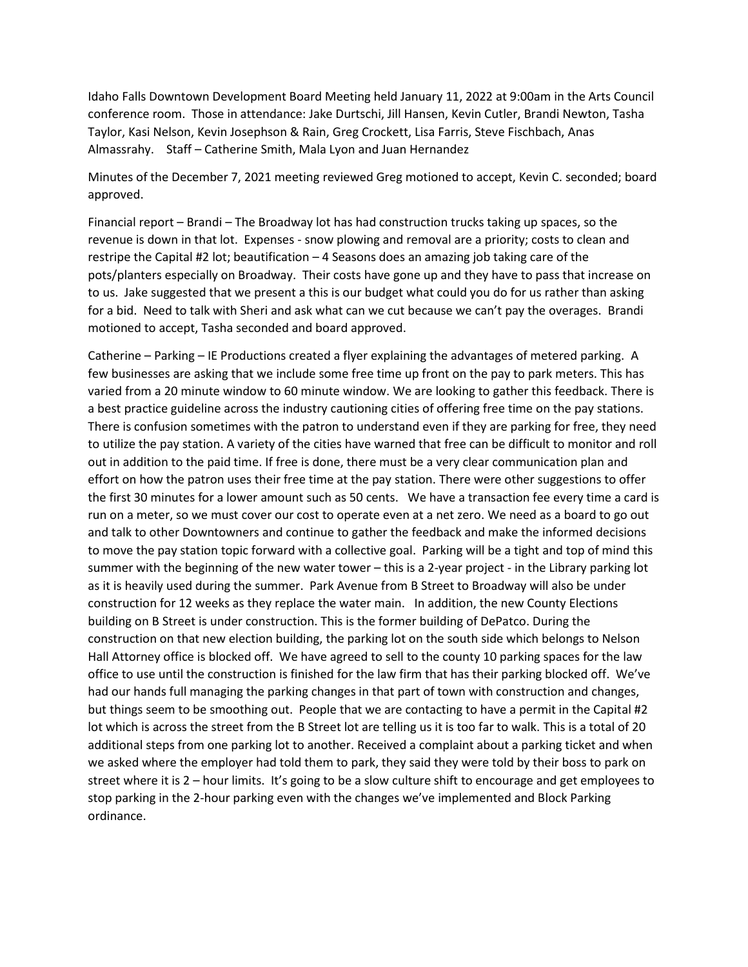Idaho Falls Downtown Development Board Meeting held January 11, 2022 at 9:00am in the Arts Council conference room. Those in attendance: Jake Durtschi, Jill Hansen, Kevin Cutler, Brandi Newton, Tasha Taylor, Kasi Nelson, Kevin Josephson & Rain, Greg Crockett, Lisa Farris, Steve Fischbach, Anas Almassrahy. Staff – Catherine Smith, Mala Lyon and Juan Hernandez

Minutes of the December 7, 2021 meeting reviewed Greg motioned to accept, Kevin C. seconded; board approved.

Financial report – Brandi – The Broadway lot has had construction trucks taking up spaces, so the revenue is down in that lot. Expenses - snow plowing and removal are a priority; costs to clean and restripe the Capital #2 lot; beautification – 4 Seasons does an amazing job taking care of the pots/planters especially on Broadway. Their costs have gone up and they have to pass that increase on to us. Jake suggested that we present a this is our budget what could you do for us rather than asking for a bid. Need to talk with Sheri and ask what can we cut because we can't pay the overages. Brandi motioned to accept, Tasha seconded and board approved.

Catherine – Parking – IE Productions created a flyer explaining the advantages of metered parking. A few businesses are asking that we include some free time up front on the pay to park meters. This has varied from a 20 minute window to 60 minute window. We are looking to gather this feedback. There is a best practice guideline across the industry cautioning cities of offering free time on the pay stations. There is confusion sometimes with the patron to understand even if they are parking for free, they need to utilize the pay station. A variety of the cities have warned that free can be difficult to monitor and roll out in addition to the paid time. If free is done, there must be a very clear communication plan and effort on how the patron uses their free time at the pay station. There were other suggestions to offer the first 30 minutes for a lower amount such as 50 cents. We have a transaction fee every time a card is run on a meter, so we must cover our cost to operate even at a net zero. We need as a board to go out and talk to other Downtowners and continue to gather the feedback and make the informed decisions to move the pay station topic forward with a collective goal. Parking will be a tight and top of mind this summer with the beginning of the new water tower – this is a 2-year project - in the Library parking lot as it is heavily used during the summer. Park Avenue from B Street to Broadway will also be under construction for 12 weeks as they replace the water main. In addition, the new County Elections building on B Street is under construction. This is the former building of DePatco. During the construction on that new election building, the parking lot on the south side which belongs to Nelson Hall Attorney office is blocked off. We have agreed to sell to the county 10 parking spaces for the law office to use until the construction is finished for the law firm that has their parking blocked off. We've had our hands full managing the parking changes in that part of town with construction and changes, but things seem to be smoothing out. People that we are contacting to have a permit in the Capital #2 lot which is across the street from the B Street lot are telling us it is too far to walk. This is a total of 20 additional steps from one parking lot to another. Received a complaint about a parking ticket and when we asked where the employer had told them to park, they said they were told by their boss to park on street where it is 2 – hour limits. It's going to be a slow culture shift to encourage and get employees to stop parking in the 2-hour parking even with the changes we've implemented and Block Parking ordinance.